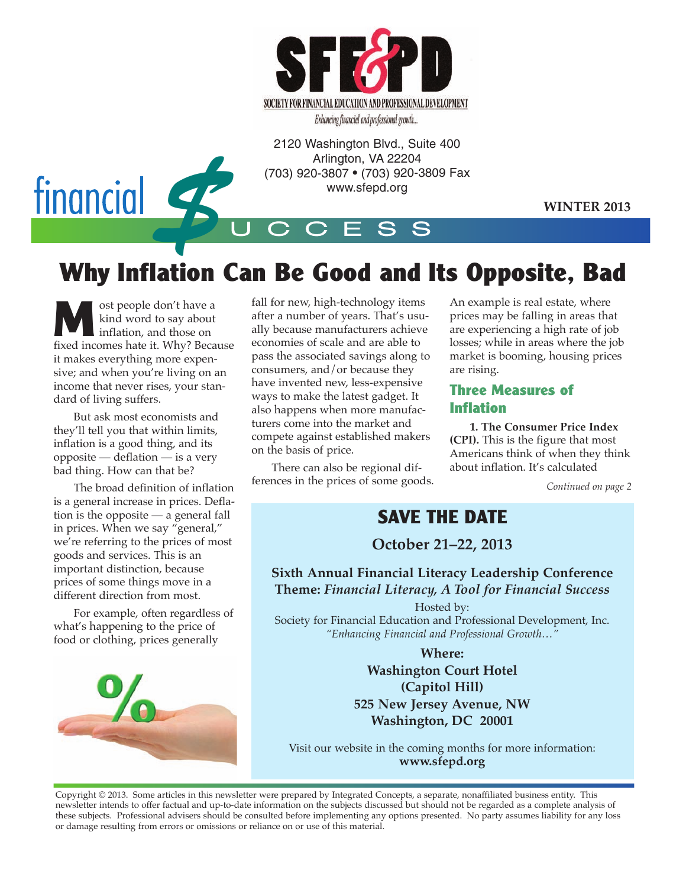

Enhancing financial and professional growth...

2120 Washington Blvd., Suite 400 Arlington, VA 22204 (703) 920-3807 • (703) 920-3809 Fax www.sfepd.org

**WINTER 2013**



# **Why Inflation Can Be Good and Its Opposite, Bad**

U C C E S S

ost people don't have a kind word to say about inflation, and those on fixed incomes hate it. Why? Because it makes everything more expensive; and when you're living on an income that never rises, your standard of living suffers.

But ask most economists and they'll tell you that within limits, inflation is a good thing, and its opposite — deflation — is a very bad thing. How can that be?

The broad definition of inflation is a general increase in prices. Deflation is the opposite — a general fall in prices. When we say "general," we're referring to the prices of most goods and services. This is an important distinction, because prices of some things move in a different direction from most.

For example, often regardless of what's happening to the price of food or clothing, prices generally



fall for new, high-technology items after a number of years. That's usually because manufacturers achieve economies of scale and are able to pass the associated savings along to consumers, and/or because they have invented new, less-expensive ways to make the latest gadget. It also happens when more manufacturers come into the market and compete against established makers on the basis of price.

There can also be regional differences in the prices of some goods. An example is real estate, where prices may be falling in areas that are experiencing a high rate of job losses; while in areas where the job market is booming, housing prices are rising.

#### **Three Measures of Inflation**

**1. The Consumer Price Index (CPI).** This is the figure that most Americans think of when they think about inflation. It's calculated

*Continued on page 2*

### **SAVE THE DATE**

**October 21–22, 2013**

**Sixth Annual Financial Literacy Leadership Conference Theme:** *Financial Literacy, A Tool for Financial Success*

Hosted by:

Society for Financial Education and Professional Development, Inc. *"Enhancing Financial and Professional Growth…"*

> **Where: Washington Court Hotel (Capitol Hill) 525 New Jersey Avenue, NW Washington, DC 20001**

Visit our website in the coming months for more information: **www.sfepd.org**

Copyright © 2013. Some articles in this newsletter were prepared by Integrated Concepts, a separate, nonaffiliated business entity. This newsletter intends to offer factual and up-to-date information on the subjects discussed but should not be regarded as a complete analysis of these subjects. Professional advisers should be consulted before implementing any options presented. No party assumes liability for any loss or damage resulting from errors or omissions or reliance on or use of this material.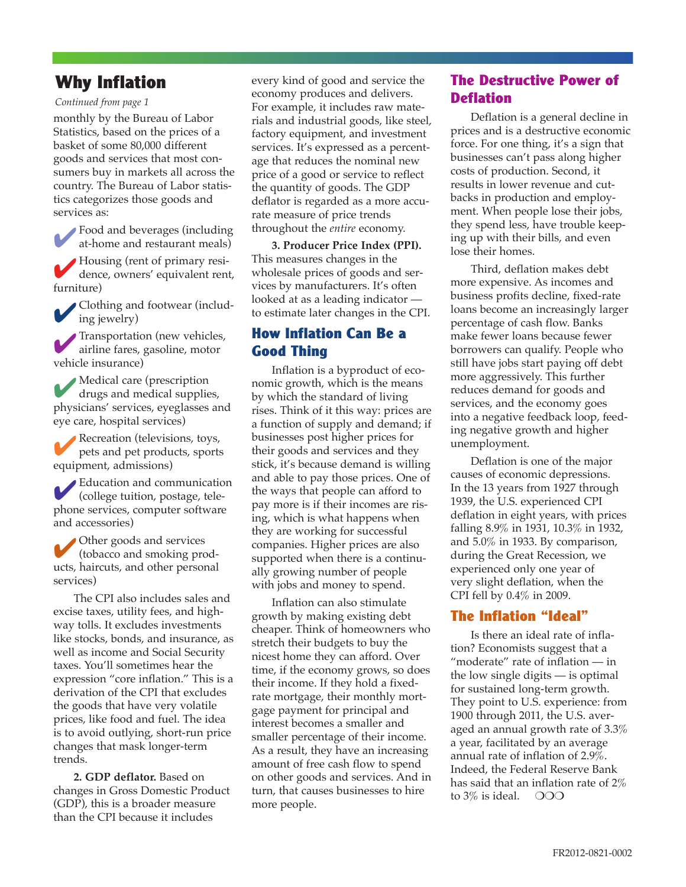#### **Why Inflation**

#### *Continued from page 1*

monthly by the Bureau of Labor Statistics, based on the prices of a basket of some 80,000 different goods and services that most consumers buy in markets all across the country. The Bureau of Labor statistics categorizes those goods and services as:

4Food and beverages (including at-home and restaurant meals) 4Housing (rent of primary residence, owners' equivalent rent, furniture)

4Clothing and footwear (includ-ing jewelry)

4Transportation (new vehicles, airline fares, gasoline, motor vehicle insurance)

4 Medical care (prescription drugs and medical supplies, physicians' services, eyeglasses and eye care, hospital services)

4Recreation (televisions, toys, pets and pet products, sports equipment, admissions)

 $\mathbf{E}$ ducation and communication (college tuition, postage, telephone services, computer software and accessories)

Other goods and services (tobacco and smoking products, haircuts, and other personal services)

The CPI also includes sales and excise taxes, utility fees, and highway tolls. It excludes investments like stocks, bonds, and insurance, as well as income and Social Security taxes. You'll sometimes hear the expression "core inflation." This is a derivation of the CPI that excludes the goods that have very volatile prices, like food and fuel. The idea is to avoid outlying, short-run price changes that mask longer-term trends.

**2. GDP deflator.** Based on changes in Gross Domestic Product (GDP), this is a broader measure than the CPI because it includes

every kind of good and service the economy produces and delivers. For example, it includes raw materials and industrial goods, like steel, factory equipment, and investment services. It's expressed as a percentage that reduces the nominal new price of a good or service to reflect the quantity of goods. The GDP deflator is regarded as a more accurate measure of price trends throughout the *entire* economy.

**3. Producer Price Index (PPI).** This measures changes in the wholesale prices of goods and services by manufacturers. It's often looked at as a leading indicator to estimate later changes in the CPI.

#### **How Inflation Can Be a Good Thing**

Inflation is a byproduct of economic growth, which is the means by which the standard of living rises. Think of it this way: prices are a function of supply and demand; if businesses post higher prices for their goods and services and they stick, it's because demand is willing and able to pay those prices. One of the ways that people can afford to pay more is if their incomes are rising, which is what happens when they are working for successful companies. Higher prices are also supported when there is a continually growing number of people with jobs and money to spend.

Inflation can also stimulate growth by making existing debt cheaper. Think of homeowners who stretch their budgets to buy the nicest home they can afford. Over time, if the economy grows, so does their income. If they hold a fixedrate mortgage, their monthly mortgage payment for principal and interest becomes a smaller and smaller percentage of their income. As a result, they have an increasing amount of free cash flow to spend on other goods and services. And in turn, that causes businesses to hire more people.

#### **The Destructive Power of Deflation**

Deflation is a general decline in prices and is a destructive economic force. For one thing, it's a sign that businesses can't pass along higher costs of production. Second, it results in lower revenue and cutbacks in production and employment. When people lose their jobs, they spend less, have trouble keeping up with their bills, and even lose their homes.

Third, deflation makes debt more expensive. As incomes and business profits decline, fixed-rate loans become an increasingly larger percentage of cash flow. Banks make fewer loans because fewer borrowers can qualify. People who still have jobs start paying off debt more aggressively. This further reduces demand for goods and services, and the economy goes into a negative feedback loop, feeding negative growth and higher unemployment.

Deflation is one of the major causes of economic depressions. In the 13 years from 1927 through 1939, the U.S. experienced CPI deflation in eight years, with prices falling 8.9% in 1931, 10.3% in 1932, and 5.0% in 1933. By comparison, during the Great Recession, we experienced only one year of very slight deflation, when the CPI fell by 0.4% in 2009.

#### **The Inflation "Ideal"**

Is there an ideal rate of inflation? Economists suggest that a "moderate" rate of inflation — in the low single digits — is optimal for sustained long-term growth. They point to U.S. experience: from 1900 through 2011, the U.S. averaged an annual growth rate of 3.3% a year, facilitated by an average annual rate of inflation of 2.9%. Indeed, the Federal Reserve Bank has said that an inflation rate of 2% to  $3\%$  is ideal.  $\circ$  OOO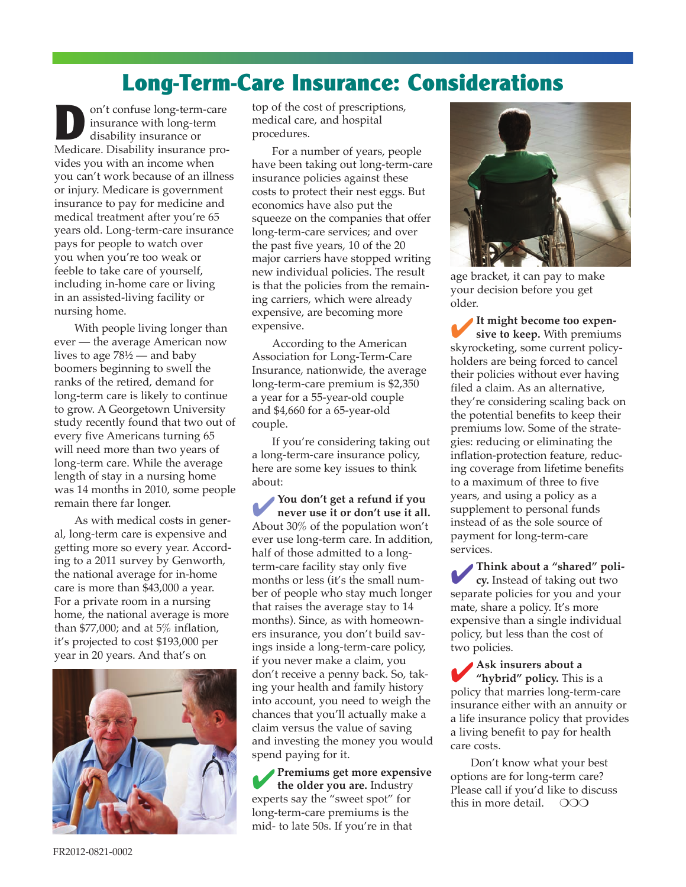### **Long-Term-Care Insurance: Considerations**

on't confuse long-term-care insurance with long-term disability insurance or Medicare. Disability insurance provides you with an income when you can't work because of an illness or injury. Medicare is government insurance to pay for medicine and medical treatment after you're 65 years old. Long-term-care insurance pays for people to watch over you when you're too weak or feeble to take care of yourself, including in-home care or living in an assisted-living facility or nursing home.

With people living longer than ever — the average American now lives to age 78½ — and baby boomers beginning to swell the ranks of the retired, demand for long-term care is likely to continue to grow. A Georgetown University study recently found that two out of every five Americans turning 65 will need more than two years of long-term care. While the average length of stay in a nursing home was 14 months in 2010, some people remain there far longer.

As with medical costs in general, long-term care is expensive and getting more so every year. According to a 2011 survey by Genworth, the national average for in-home care is more than \$43,000 a year. For a private room in a nursing home, the national average is more than \$77,000; and at 5% inflation, it's projected to cost \$193,000 per year in 20 years. And that's on



top of the cost of prescriptions, medical care, and hospital procedures.

For a number of years, people have been taking out long-term-care insurance policies against these costs to protect their nest eggs. But economics have also put the squeeze on the companies that offer long-term-care services; and over the past five years, 10 of the 20 major carriers have stopped writing new individual policies. The result is that the policies from the remaining carriers, which were already expensive, are becoming more expensive.

According to the American Association for Long-Term-Care Insurance, nationwide, the average long-term-care premium is \$2,350 a year for a 55-year-old couple and \$4,660 for a 65-year-old couple.

If you're considering taking out a long-term-care insurance policy, here are some key issues to think about:

4**You don't get a refund if you never use it or don't use it all.** About 30% of the population won't ever use long-term care. In addition, half of those admitted to a longterm-care facility stay only five months or less (it's the small number of people who stay much longer that raises the average stay to 14 months). Since, as with homeowners insurance, you don't build savings inside a long-term-care policy, if you never make a claim, you don't receive a penny back. So, taking your health and family history into account, you need to weigh the chances that you'll actually make a claim versus the value of saving and investing the money you would spend paying for it.

4**Premiums get more expensive the older you are.** Industry experts say the "sweet spot" for long-term-care premiums is the mid- to late 50s. If you're in that



age bracket, it can pay to make your decision before you get older.

It might become too expen**sive to keep.** With premiums skyrocketing, some current policyholders are being forced to cancel their policies without ever having filed a claim. As an alternative, they're considering scaling back on the potential benefits to keep their premiums low. Some of the strategies: reducing or eliminating the inflation-protection feature, reducing coverage from lifetime benefits to a maximum of three to five years, and using a policy as a supplement to personal funds instead of as the sole source of payment for long-term-care services.

4**Think about a "shared" policy.** Instead of taking out two separate policies for you and your mate, share a policy. It's more expensive than a single individual policy, but less than the cost of two policies.

4**Ask insurers about a "hybrid" policy.** This is a policy that marries long-term-care insurance either with an annuity or a life insurance policy that provides a living benefit to pay for health care costs.

Don't know what your best options are for long-term care? Please call if you'd like to discuss this in more detail.  $\degree$  OOO